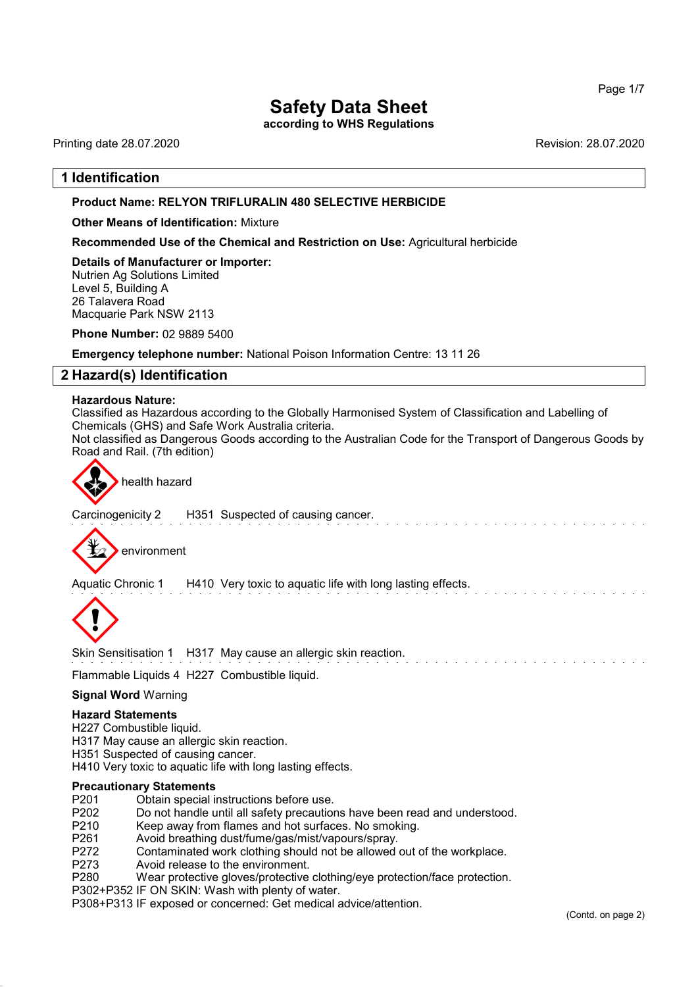according to WHS Regulations

Printing date 28.07.2020 Revision: 28.07.2020

## 1 Identification

#### Product Name: **RELYON** TRIFLURALIN 480 SELECTIVE HERBICIDE

Other Means of Identification: Mixture

Recommended Use of the Chemical and Restriction on Use: Agricultural herbicide

Details of Manufacturer or Importer: Nutrien Ag Solutions Limited Level 5, Building A 26 Talavera Road Macquarie Park NSW 2113

Phone Number: 02 9889 5400

Emergency telephone number: National Poison Information Centre: 13 11 26

## 2 Hazard(s) Identification

#### Hazardous Nature:

Classified as Hazardous according to the Globally Harmonised System of Classification and Labelling of Chemicals (GHS) and Safe Work Australia criteria.

Not classified as Dangerous Goods according to the Australian Code for the Transport of Dangerous Goods by Road and Rail. (7th edition)



health hazard

Carcinogenicity 2 H351 Suspected of causing cancer.



Aquatic Chronic 1 H410 Very toxic to aquatic life with long lasting effects.



Skin Sensitisation 1 H317 May cause an allergic skin reaction.

## Flammable Liquids 4 H227 Combustible liquid.

#### Signal Word Warning

#### Hazard Statements

H227 Combustible liquid.

- H317 May cause an allergic skin reaction.
- H351 Suspected of causing cancer.
- H410 Very toxic to aquatic life with long lasting effects.

#### Precautionary Statements

- P201 Obtain special instructions before use.<br>P202 Do not handle until all safety precaution
- P202 Do not handle until all safety precautions have been read and understood.<br>P210 Keep away from flames and hot surfaces. No smoking.
- P210 Keep away from flames and hot surfaces. No smoking.<br>P261 Avoid breathing dust/fume/gas/mist/vapours/sprav.
- 
- P261 Avoid breathing dust/fume/gas/mist/vapours/spray.<br>P272 Contaminated work clothing should not be allowed P272 Contaminated work clothing should not be allowed out of the workplace.<br>P273 Avoid release to the environment.
- P273 Avoid release to the environment.<br>P280 Wear protective gloves/protective
- Wear protective gloves/protective clothing/eye protection/face protection.
- P302+P352 IF ON SKIN: Wash with plenty of water.

P308+P313 IF exposed or concerned: Get medical advice/attention.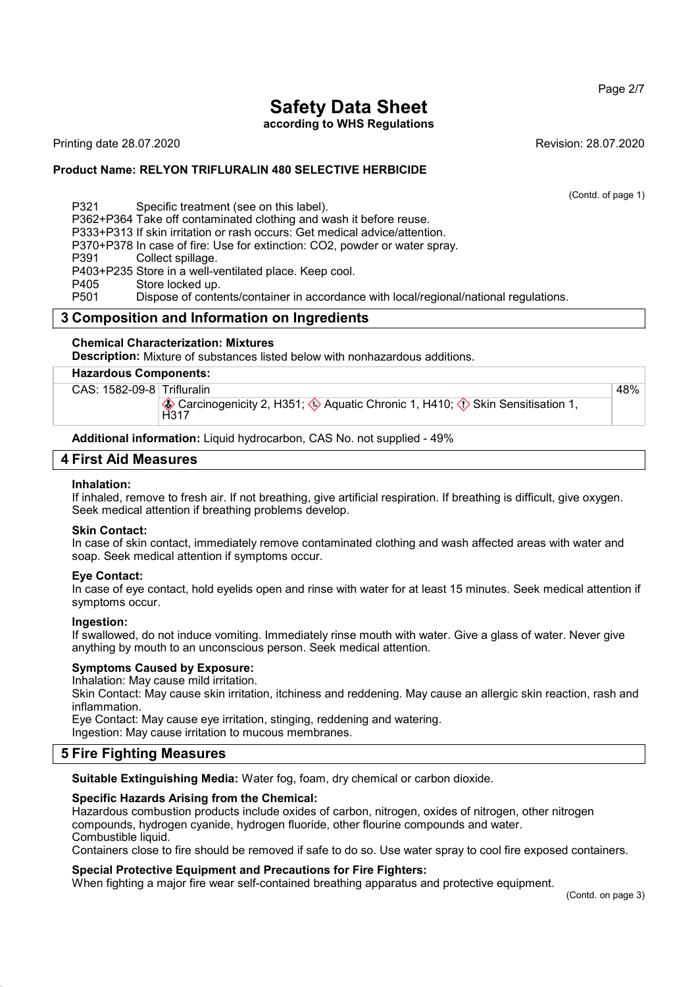#### Page 2/7

# Safety Data Sheet

according to WHS Regulations

Printing date 28.07.2020 **Revision: 28.07.2020** 

#### Product Name: **RELYON** TRIFLURALIN 480 SELECTIVE HERBICIDE

(Contd. of page 1)

48%

P321 Specific treatment (see on this label).

P362+P364 Take off contaminated clothing and wash it before reuse.

P333+P313 If skin irritation or rash occurs: Get medical advice/attention.

P370+P378 In case of fire: Use for extinction: CO2, powder or water spray.

P391 Collect spillage.

P403+P235 Store in a well-ventilated place. Keep cool.

P405 Store locked up.<br>P501 Dispose of conte

Dispose of contents/container in accordance with local/regional/national regulations.

## 3 Composition and Information on Ingredients

#### Chemical Characterization: Mixtures

Description: Mixture of substances listed below with nonhazardous additions.

## Hazardous Components:

CAS: 1582-09-8 Trifluralin

 $\circledast$  Carcinogenicity 2, H351;  $\circledast$  Aquatic Chronic 1, H410;  $\circledcirc$  Skin Sensitisation 1, H<sub>317</sub>

Additional information: Liquid hydrocarbon, CAS No. not supplied - 49%

#### 4 First Aid Measures

#### Inhalation:

If inhaled, remove to fresh air. If not breathing, give artificial respiration. If breathing is difficult, give oxygen. Seek medical attention if breathing problems develop.

#### Skin Contact:

In case of skin contact, immediately remove contaminated clothing and wash affected areas with water and soap. Seek medical attention if symptoms occur.

#### Eye Contact:

In case of eye contact, hold eyelids open and rinse with water for at least 15 minutes. Seek medical attention if symptoms occur.

#### Ingestion:

If swallowed, do not induce vomiting. Immediately rinse mouth with water. Give a glass of water. Never give anything by mouth to an unconscious person. Seek medical attention.

#### Symptoms Caused by Exposure:

Inhalation: May cause mild irritation.

Skin Contact: May cause skin irritation, itchiness and reddening. May cause an allergic skin reaction, rash and inflammation.

Eye Contact: May cause eye irritation, stinging, reddening and watering.

Ingestion: May cause irritation to mucous membranes.

## 5 Fire Fighting Measures

Suitable Extinguishing Media: Water fog, foam, dry chemical or carbon dioxide.

#### Specific Hazards Arising from the Chemical:

Hazardous combustion products include oxides of carbon, nitrogen, oxides of nitrogen, other nitrogen compounds, hydrogen cyanide, hydrogen fluoride, other flourine compounds and water. Combustible liquid.

Containers close to fire should be removed if safe to do so. Use water spray to cool fire exposed containers.

#### Special Protective Equipment and Precautions for Fire Fighters:

When fighting a major fire wear self-contained breathing apparatus and protective equipment.

(Contd. on page 3)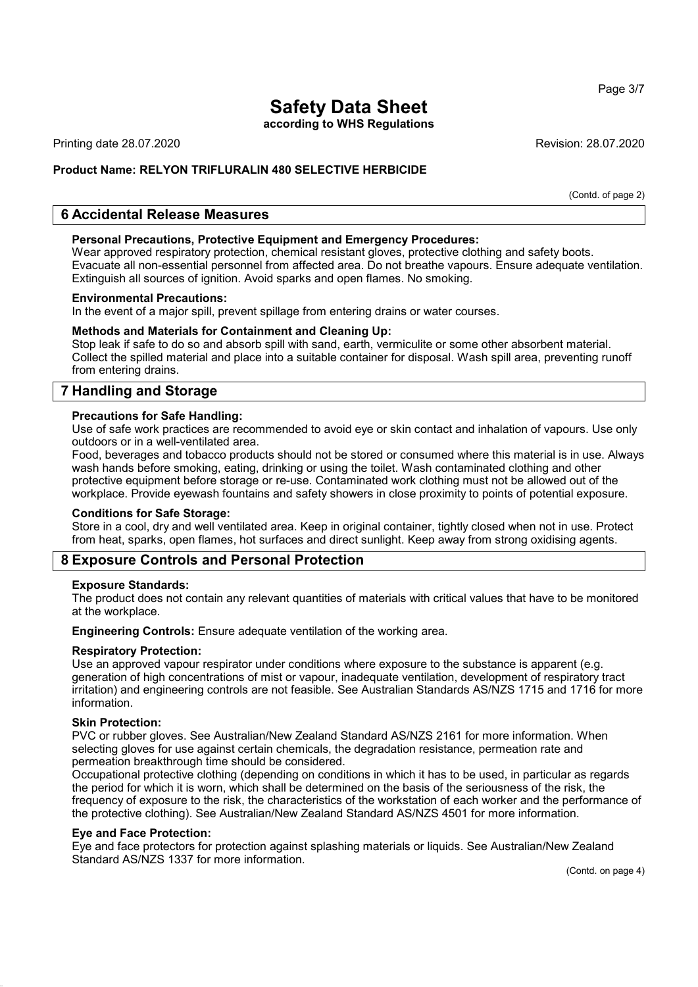according to WHS Regulations

Printing date 28.07.2020 **Revision: 28.07.2020** Revision: 28.07.2020

## Product Name: **RELYON** TRIFLURALIN 480 SELECTIVE HERBICIDE

(Contd. of page 2)

## 6 Accidental Release Measures

#### Personal Precautions, Protective Equipment and Emergency Procedures:

Wear approved respiratory protection, chemical resistant gloves, protective clothing and safety boots. Evacuate all non-essential personnel from affected area. Do not breathe vapours. Ensure adequate ventilation. Extinguish all sources of ignition. Avoid sparks and open flames. No smoking.

#### Environmental Precautions:

In the event of a major spill, prevent spillage from entering drains or water courses.

#### Methods and Materials for Containment and Cleaning Up:

Stop leak if safe to do so and absorb spill with sand, earth, vermiculite or some other absorbent material. Collect the spilled material and place into a suitable container for disposal. Wash spill area, preventing runoff from entering drains.

## 7 Handling and Storage

#### Precautions for Safe Handling:

Use of safe work practices are recommended to avoid eye or skin contact and inhalation of vapours. Use only outdoors or in a well-ventilated area.

Food, beverages and tobacco products should not be stored or consumed where this material is in use. Always wash hands before smoking, eating, drinking or using the toilet. Wash contaminated clothing and other protective equipment before storage or re-use. Contaminated work clothing must not be allowed out of the workplace. Provide eyewash fountains and safety showers in close proximity to points of potential exposure.

#### Conditions for Safe Storage:

Store in a cool, dry and well ventilated area. Keep in original container, tightly closed when not in use. Protect from heat, sparks, open flames, hot surfaces and direct sunlight. Keep away from strong oxidising agents.

## 8 Exposure Controls and Personal Protection

#### Exposure Standards:

The product does not contain any relevant quantities of materials with critical values that have to be monitored at the workplace.

Engineering Controls: Ensure adequate ventilation of the working area.

#### Respiratory Protection:

Use an approved vapour respirator under conditions where exposure to the substance is apparent (e.g. generation of high concentrations of mist or vapour, inadequate ventilation, development of respiratory tract irritation) and engineering controls are not feasible. See Australian Standards AS/NZS 1715 and 1716 for more information.

#### Skin Protection:

PVC or rubber gloves. See Australian/New Zealand Standard AS/NZS 2161 for more information. When selecting gloves for use against certain chemicals, the degradation resistance, permeation rate and permeation breakthrough time should be considered.

Occupational protective clothing (depending on conditions in which it has to be used, in particular as regards the period for which it is worn, which shall be determined on the basis of the seriousness of the risk, the frequency of exposure to the risk, the characteristics of the workstation of each worker and the performance of the protective clothing). See Australian/New Zealand Standard AS/NZS 4501 for more information.

#### Eye and Face Protection:

Eye and face protectors for protection against splashing materials or liquids. See Australian/New Zealand Standard AS/NZS 1337 for more information.

(Contd. on page 4)

Page 3/7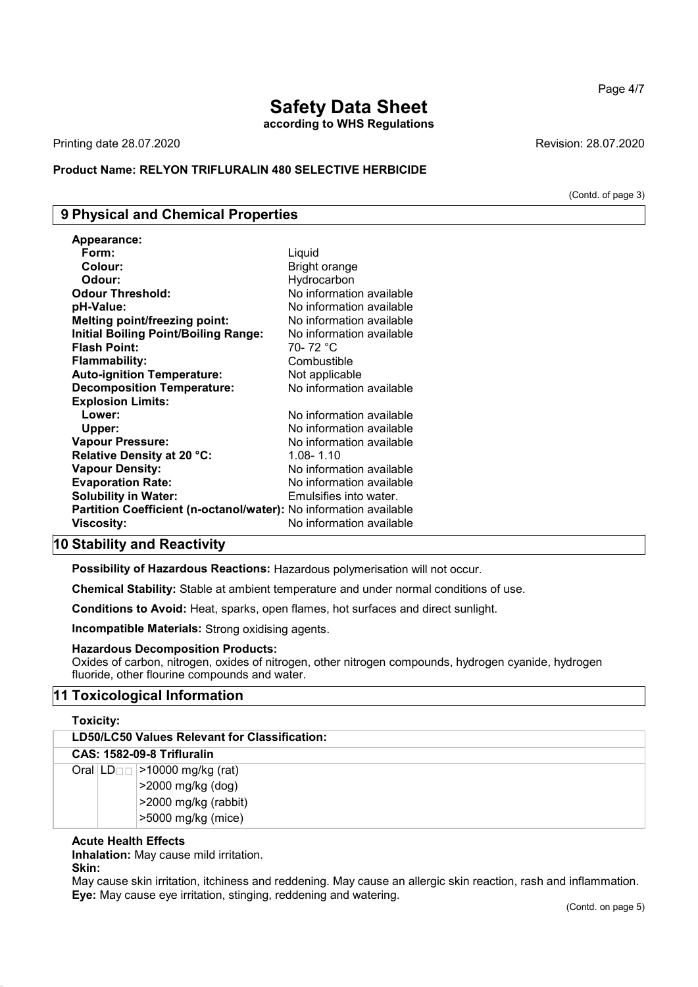according to WHS Regulations

Printing date 28.07.2020 Revision: 28.07.2020

#### Product Name: **RELYON** TRIFLURALIN 480 SELECTIVE HERBICIDE

## 9 Physical and Chemical Properties

| <b>Appearance:</b>                                                |                          |
|-------------------------------------------------------------------|--------------------------|
| Form:                                                             | Liquid                   |
| Colour:                                                           | Bright orange            |
| Odour:                                                            | Hydrocarbon              |
| <b>Odour Threshold:</b>                                           | No information available |
| pH-Value:                                                         | No information available |
| <b>Melting point/freezing point:</b>                              | No information available |
| <b>Initial Boiling Point/Boiling Range:</b>                       | No information available |
| <b>Flash Point:</b>                                               | 70- 72 °C                |
| <b>Flammability:</b>                                              | Combustible              |
| <b>Auto-ignition Temperature:</b>                                 | Not applicable           |
| <b>Decomposition Temperature:</b>                                 | No information available |
| <b>Explosion Limits:</b>                                          |                          |
| Lower:                                                            | No information available |
| Upper:                                                            | No information available |
| <b>Vapour Pressure:</b>                                           | No information available |
| Relative Density at 20 °C:                                        | 1.08-1.10                |
| <b>Vapour Density:</b>                                            | No information available |
| <b>Evaporation Rate:</b>                                          | No information available |
| <b>Solubility in Water:</b>                                       | Emulsifies into water.   |
| Partition Coefficient (n-octanol/water): No information available |                          |
| Viscosity:                                                        | No information available |

## 10 Stability and Reactivity

Possibility of Hazardous Reactions: Hazardous polymerisation will not occur.

Chemical Stability: Stable at ambient temperature and under normal conditions of use.

Conditions to Avoid: Heat, sparks, open flames, hot surfaces and direct sunlight.

Incompatible Materials: Strong oxidising agents.

#### Hazardous Decomposition Products:

Oxides of carbon, nitrogen, oxides of nitrogen, other nitrogen compounds, hydrogen cyanide, hydrogen fluoride, other flourine compounds and water.

## 11 Toxicological Information

#### Toxicity:

| LD50/LC50 Values Relevant for Classification: |                                                                                                            |
|-----------------------------------------------|------------------------------------------------------------------------------------------------------------|
|                                               | <b>CAS: 1582-09-8 Trifluralin</b>                                                                          |
|                                               | Oral $ LD_{\Box}$ > 10000 mg/kg (rat)<br>>2000 mg/kg (dog)<br>>2000 mg/kg (rabbit)<br>$>5000$ mg/kg (mice) |

#### Acute Health Effects

Inhalation: May cause mild irritation.

## Skin:

May cause skin irritation, itchiness and reddening. May cause an allergic skin reaction, rash and inflammation. Eye: May cause eye irritation, stinging, reddening and watering.

(Contd. of page 3)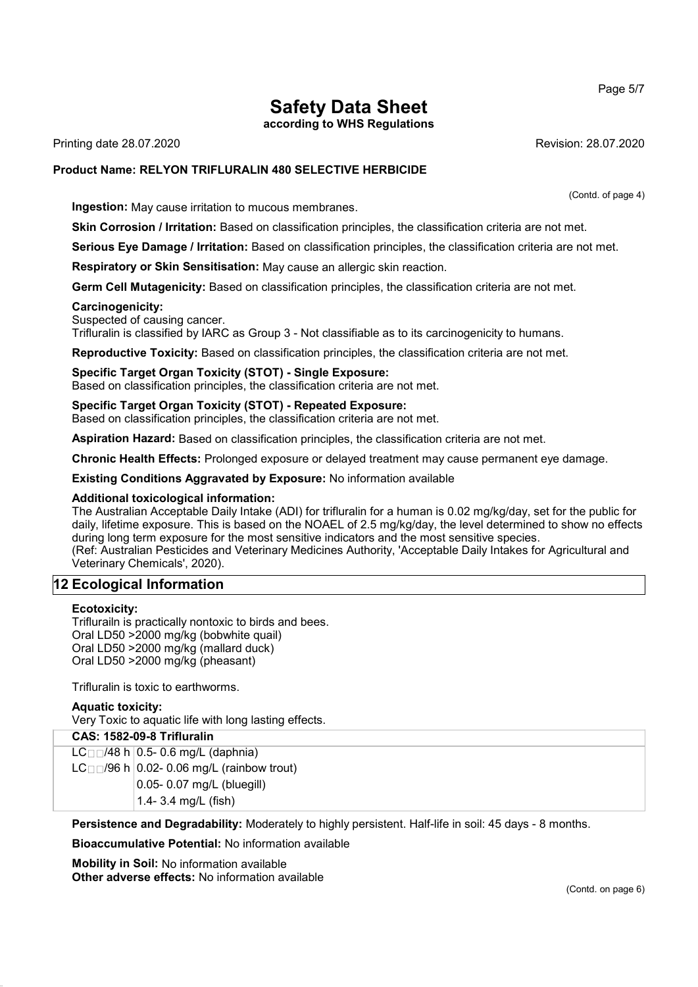according to WHS Regulations

Printing date 28.07.2020 **Revision: 28.07.2020** 

#### Product Name: **RELYON** TRIFLURALIN 480 SELECTIVE HERBICIDE

**Ingestion:** May cause irritation to mucous membranes.

Skin Corrosion / Irritation: Based on classification principles, the classification criteria are not met.

Serious Eye Damage / Irritation: Based on classification principles, the classification criteria are not met.

Respiratory or Skin Sensitisation: May cause an allergic skin reaction.

Germ Cell Mutagenicity: Based on classification principles, the classification criteria are not met.

#### Carcinogenicity:

Suspected of causing cancer.

Trifluralin is classified by IARC as Group 3 - Not classifiable as to its carcinogenicity to humans.

Reproductive Toxicity: Based on classification principles, the classification criteria are not met.

Specific Target Organ Toxicity (STOT) - Single Exposure: Based on classification principles, the classification criteria are not met.

Specific Target Organ Toxicity (STOT) - Repeated Exposure: Based on classification principles, the classification criteria are not met.

Aspiration Hazard: Based on classification principles, the classification criteria are not met.

Chronic Health Effects: Prolonged exposure or delayed treatment may cause permanent eye damage.

Existing Conditions Aggravated by Exposure: No information available

#### Additional toxicological information:

The Australian Acceptable Daily Intake (ADI) for trifluralin for a human is 0.02 mg/kg/day, set for the public for daily, lifetime exposure. This is based on the NOAEL of 2.5 mg/kg/day, the level determined to show no effects during long term exposure for the most sensitive indicators and the most sensitive species. (Ref: Australian Pesticides and Veterinary Medicines Authority, 'Acceptable Daily Intakes for Agricultural and Veterinary Chemicals', 2020).

## 12 Ecological Information

#### Ecotoxicity:

Triflurailn is practically nontoxic to birds and bees. Oral LD50 >2000 mg/kg (bobwhite quail) Oral LD50 >2000 mg/kg (mallard duck) Oral LD50 >2000 mg/kg (pheasant)

Trifluralin is toxic to earthworms.

#### Aquatic toxicity:

Very Toxic to aquatic life with long lasting effects.

| <b>CAS: 1582-09-8 Trifluralin</b> |                                                           |  |
|-----------------------------------|-----------------------------------------------------------|--|
|                                   | $LCII/48$ h $0.5$ - 0.6 mg/L (daphnia)                    |  |
|                                   | $LC$ <sub>0.0</sub> /96 h 0.02- 0.06 mg/L (rainbow trout) |  |
|                                   | 0.05- 0.07 mg/L (bluegill)                                |  |
|                                   | 1.4- 3.4 mg/L (fish)                                      |  |

Persistence and Degradability: Moderately to highly persistent. Half-life in soil: 45 days - 8 months.

Bioaccumulative Potential: No information available

Mobility in Soil: No information available Other adverse effects: No information available Page 5/7

(Contd. of page 4)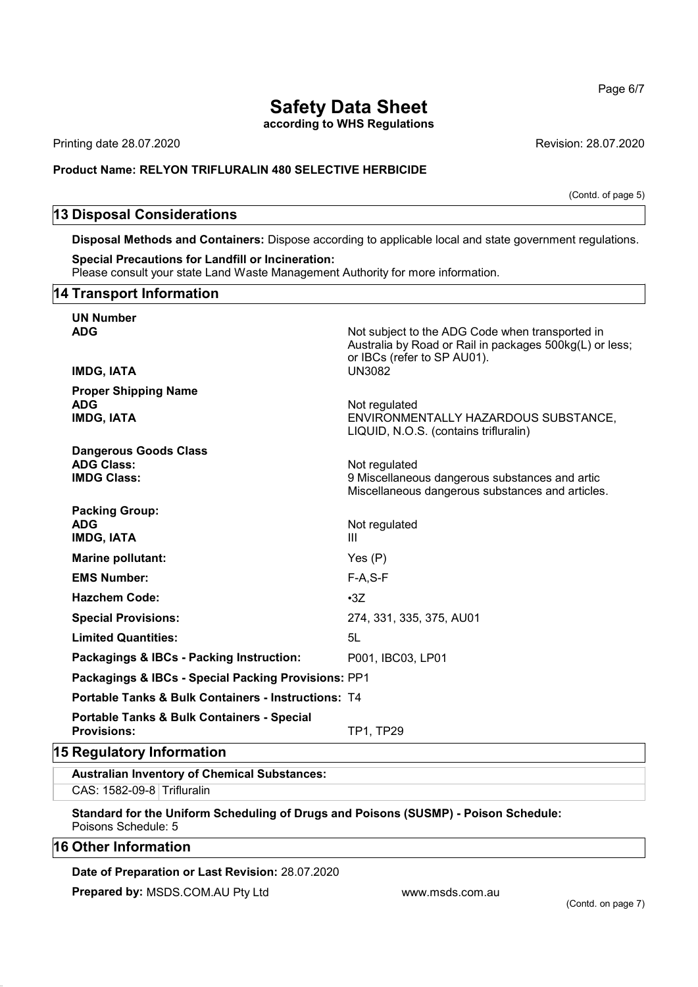according to WHS Regulations

Printing date 28.07.2020 **Revision: 28.07.2020** Revision: 28.07.2020

#### Product Name: **RELYON** TRIFLURALIN 480 SELECTIVE HERBICIDE

(Contd. of page 5)

## 13 Disposal Considerations

Disposal Methods and Containers: Dispose according to applicable local and state government regulations.

#### Special Precautions for Landfill or Incineration:

Please consult your state Land Waste Management Authority for more information.

#### 14 Transport Information

| <b>UN Number</b>                                                            |                                                                                                                                           |  |
|-----------------------------------------------------------------------------|-------------------------------------------------------------------------------------------------------------------------------------------|--|
| <b>ADG</b>                                                                  | Not subject to the ADG Code when transported in<br>Australia by Road or Rail in packages 500kg(L) or less;<br>or IBCs (refer to SP AU01). |  |
| <b>IMDG, IATA</b>                                                           | <b>UN3082</b>                                                                                                                             |  |
| <b>Proper Shipping Name</b><br><b>ADG</b><br><b>IMDG, IATA</b>              | Not regulated<br>ENVIRONMENTALLY HAZARDOUS SUBSTANCE,<br>LIQUID, N.O.S. (contains trifluralin)                                            |  |
| <b>Dangerous Goods Class</b>                                                |                                                                                                                                           |  |
| <b>ADG Class:</b><br><b>IMDG Class:</b>                                     | Not regulated<br>9 Miscellaneous dangerous substances and artic<br>Miscellaneous dangerous substances and articles.                       |  |
| <b>Packing Group:</b>                                                       |                                                                                                                                           |  |
| <b>ADG</b><br><b>IMDG, IATA</b>                                             | Not regulated<br>Ш                                                                                                                        |  |
| Marine pollutant:                                                           | Yes $(P)$                                                                                                                                 |  |
| <b>EMS Number:</b>                                                          | $F-A, S-F$                                                                                                                                |  |
| <b>Hazchem Code:</b>                                                        | $\cdot 3Z$                                                                                                                                |  |
| <b>Special Provisions:</b>                                                  | 274, 331, 335, 375, AU01                                                                                                                  |  |
| <b>Limited Quantities:</b>                                                  | 5L                                                                                                                                        |  |
| Packagings & IBCs - Packing Instruction:                                    | P001, IBC03, LP01                                                                                                                         |  |
| Packagings & IBCs - Special Packing Provisions: PP1                         |                                                                                                                                           |  |
| <b>Portable Tanks &amp; Bulk Containers - Instructions: T4</b>              |                                                                                                                                           |  |
| <b>Portable Tanks &amp; Bulk Containers - Special</b><br><b>Provisions:</b> | <b>TP1, TP29</b>                                                                                                                          |  |

## 15 Regulatory Information

Australian Inventory of Chemical Substances: CAS: 1582-09-8 Trifluralin

Standard for the Uniform Scheduling of Drugs and Poisons (SUSMP) - Poison Schedule: Poisons Schedule: 5

## 16 Other Information

#### Date of Preparation or Last Revision: 28.07.2020

Prepared by: MSDS.COM.AU Pty Ltd www.msds.com.au

Page 6/7